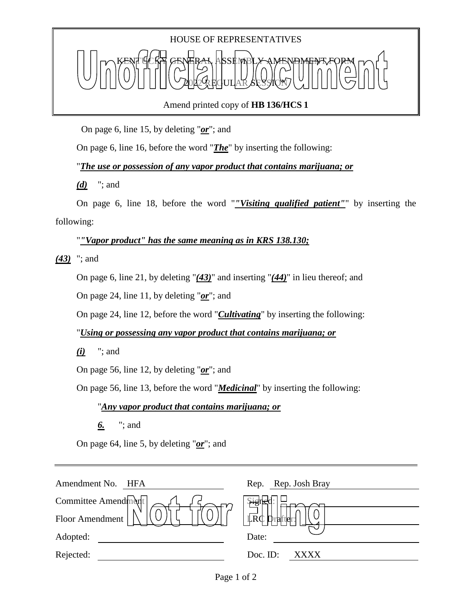## HOUSE OF REPRESENTATIVES KENT YCKY GENERAL ASSEMBLY AMENDMENT FORM 2022 REGULAR SESSION

Amend printed copy of **HB 136/HCS 1**

On page 6, line 15, by deleting "*or*"; and

On page 6, line 16, before the word "*The*" by inserting the following:

"*The use or possession of any vapor product that contains marijuana; or*

*(d)* "; and

On page 6, line 18, before the word "*"Visiting qualified patient"*" by inserting the following:

"*"Vapor product" has the same meaning as in KRS 138.130;*

*(43)* "; and

On page 6, line 21, by deleting "*(43)*" and inserting "*(44)*" in lieu thereof; and

On page 24, line 11, by deleting "*or*"; and

On page 24, line 12, before the word "*Cultivating*" by inserting the following:

"*Using or possessing any vapor product that contains marijuana; or*

*(i)* "; and

On page 56, line 12, by deleting "*or*"; and

On page 56, line 13, before the word "*Medicinal*" by inserting the following:

## "*Any vapor product that contains marijuana; or*

*6.* "; and

On page 64, line 5, by deleting "*or*"; and

| Amendment No. HFA   | Rep. Rep. Josh Bray                          |
|---------------------|----------------------------------------------|
| Committee Amendment | Sigi                                         |
| Floor Amendment     | $\overline{\mathbb{R}}\mathbb{C}$<br>Drafter |
| Adopted:            | Date:                                        |
| Rejected:           | Doc. ID:<br>XXXX                             |